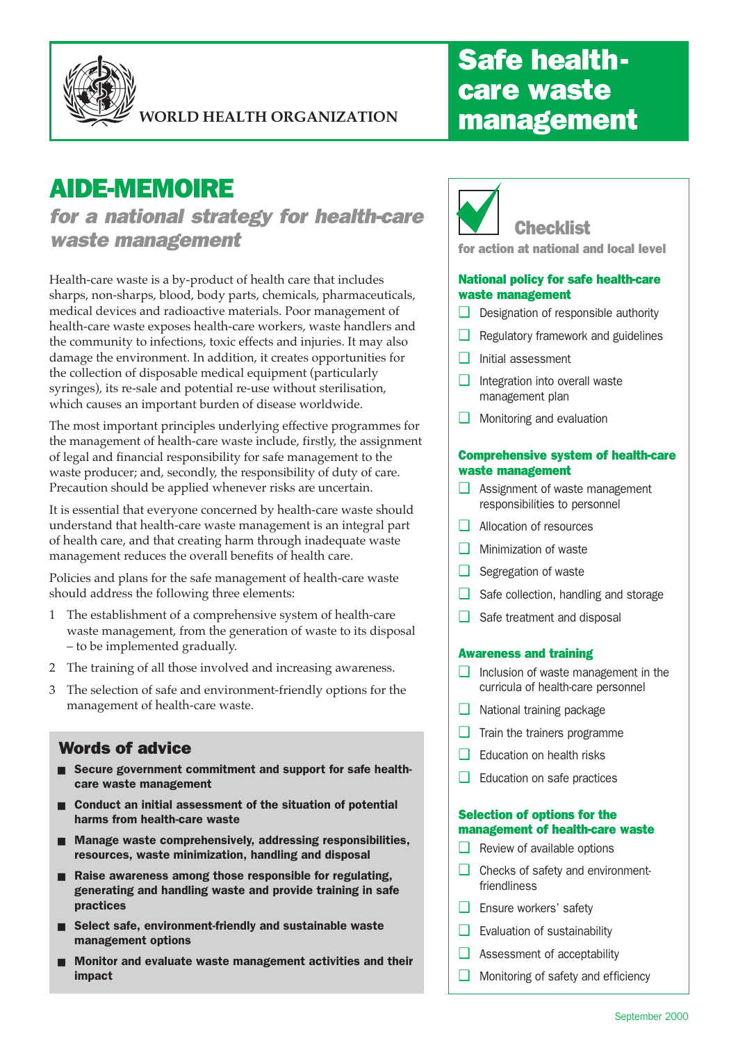

**WORLD HEALTH ORGANIZATION**

# AIDE-MEMOIRE

for a national strategy for health-care waste management

Health-care waste is a by-product of health care that includes sharps, non-sharps, blood, body parts, chemicals, pharmaceuticals, medical devices and radioactive materials. Poor management of health-care waste exposes health-care workers, waste handlers and the community to infections, toxic effects and injuries. It may also damage the environment. In addition, it creates opportunities for the collection of disposable medical equipment (particularly syringes), its re-sale and potential re-use without sterilisation, which causes an important burden of disease worldwide.

The most important principles underlying effective programmes for the management of health-care waste include, firstly, the assignment of legal and financial responsibility for safe management to the waste producer; and, secondly, the responsibility of duty of care. Precaution should be applied whenever risks are uncertain.

It is essential that everyone concerned by health-care waste should understand that health-care waste management is an integral part of health care, and that creating harm through inadequate waste management reduces the overall benefits of health care.

Policies and plans for the safe management of health-care waste should address the following three elements:

- 1 The establishment of a comprehensive system of health-care waste management, from the generation of waste to its disposal – to be implemented gradually.
- 2 The training of all those involved and increasing awareness.
- 3 The selection of safe and environment-friendly options for the management of health-care waste.

### Words of advice

- Secure government commitment and support for safe healthcare waste management
- Conduct an initial assessment of the situation of potential harms from health-care waste
- Manage waste comprehensively, addressing responsibilities, resources, waste minimization, handling and disposal
- Raise awareness among those responsible for regulating, generating and handling waste and provide training in safe practices
- Select safe, environment-friendly and sustainable waste management options
- Monitor and evaluate waste management activities and their impact

## Safe healthcare waste management



for action at national and local level

#### National policy for safe health-care waste management

- ❑ Designation of responsible authority
- ❑ Regulatory framework and guidelines
- ❑ Initial assessment
- ❑ Integration into overall waste management plan
- ❑ Monitoring and evaluation

#### Comprehensive system of health-care waste management

- ❑ Assignment of waste management responsibilities to personnel
- ❑ Allocation of resources
- ❑ Minimization of waste
- ❑ Segregation of waste
- ❑ Safe collection, handling and storage
- Safe treatment and disposal

#### Awareness and training

- ❑ Inclusion of waste management in the curricula of health-care personnel
- ❑ National training package
- $\Box$  Train the trainers programme
- Education on health risks
- ❑ Education on safe practices

#### Selection of options for the management of health-care waste

- ❑ Review of available options
- ❑ Checks of safety and environmentfriendliness
- ❑ Ensure workers' safety
- ❑ Evaluation of sustainability
- ❑ Assessment of acceptability
- ❑ Monitoring of safety and efficiency